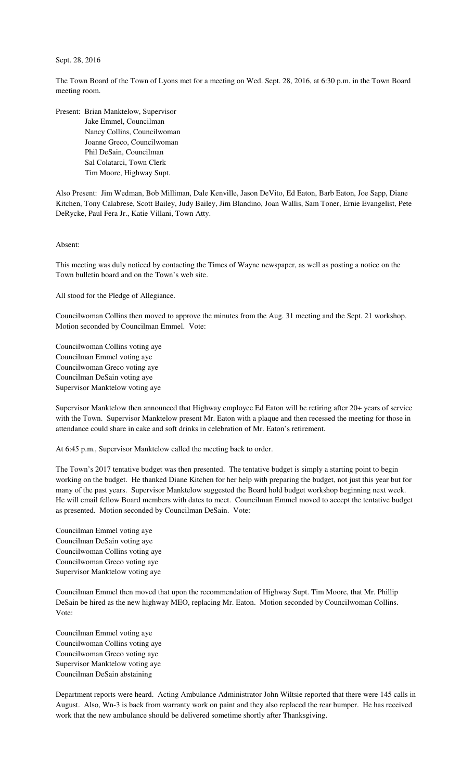## Sept. 28, 2016

The Town Board of the Town of Lyons met for a meeting on Wed. Sept. 28, 2016, at 6:30 p.m. in the Town Board meeting room.

Present: Brian Manktelow, Supervisor Jake Emmel, Councilman Nancy Collins, Councilwoman Joanne Greco, Councilwoman Phil DeSain, Councilman Sal Colatarci, Town Clerk Tim Moore, Highway Supt.

Also Present: Jim Wedman, Bob Milliman, Dale Kenville, Jason DeVito, Ed Eaton, Barb Eaton, Joe Sapp, Diane Kitchen, Tony Calabrese, Scott Bailey, Judy Bailey, Jim Blandino, Joan Wallis, Sam Toner, Ernie Evangelist, Pete DeRycke, Paul Fera Jr., Katie Villani, Town Atty.

## Absent:

This meeting was duly noticed by contacting the Times of Wayne newspaper, as well as posting a notice on the Town bulletin board and on the Town's web site.

All stood for the Pledge of Allegiance.

Councilwoman Collins then moved to approve the minutes from the Aug. 31 meeting and the Sept. 21 workshop. Motion seconded by Councilman Emmel. Vote:

Councilwoman Collins voting aye Councilman Emmel voting aye Councilwoman Greco voting aye Councilman DeSain voting aye Supervisor Manktelow voting aye

Supervisor Manktelow then announced that Highway employee Ed Eaton will be retiring after 20+ years of service with the Town. Supervisor Manktelow present Mr. Eaton with a plaque and then recessed the meeting for those in attendance could share in cake and soft drinks in celebration of Mr. Eaton's retirement.

At 6:45 p.m., Supervisor Manktelow called the meeting back to order.

The Town's 2017 tentative budget was then presented. The tentative budget is simply a starting point to begin working on the budget. He thanked Diane Kitchen for her help with preparing the budget, not just this year but for many of the past years. Supervisor Manktelow suggested the Board hold budget workshop beginning next week. He will email fellow Board members with dates to meet. Councilman Emmel moved to accept the tentative budget as presented. Motion seconded by Councilman DeSain. Vote:

Councilman Emmel voting aye Councilman DeSain voting aye Councilwoman Collins voting aye Councilwoman Greco voting aye Supervisor Manktelow voting aye

Councilman Emmel then moved that upon the recommendation of Highway Supt. Tim Moore, that Mr. Phillip DeSain be hired as the new highway MEO, replacing Mr. Eaton. Motion seconded by Councilwoman Collins. Vote:

Councilman Emmel voting aye Councilwoman Collins voting aye Councilwoman Greco voting aye Supervisor Manktelow voting aye Councilman DeSain abstaining

Department reports were heard. Acting Ambulance Administrator John Wiltsie reported that there were 145 calls in August. Also, Wn-3 is back from warranty work on paint and they also replaced the rear bumper. He has received work that the new ambulance should be delivered sometime shortly after Thanksgiving.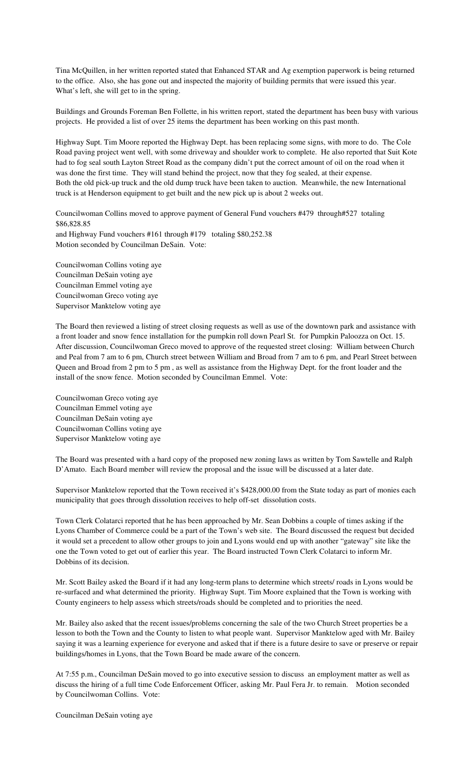Tina McQuillen, in her written reported stated that Enhanced STAR and Ag exemption paperwork is being returned to the office. Also, she has gone out and inspected the majority of building permits that were issued this year. What's left, she will get to in the spring.

Buildings and Grounds Foreman Ben Follette, in his written report, stated the department has been busy with various projects. He provided a list of over 25 items the department has been working on this past month.

Highway Supt. Tim Moore reported the Highway Dept. has been replacing some signs, with more to do. The Cole Road paving project went well, with some driveway and shoulder work to complete. He also reported that Suit Kote had to fog seal south Layton Street Road as the company didn't put the correct amount of oil on the road when it was done the first time. They will stand behind the project, now that they fog sealed, at their expense. Both the old pick-up truck and the old dump truck have been taken to auction. Meanwhile, the new International truck is at Henderson equipment to get built and the new pick up is about 2 weeks out.

Councilwoman Collins moved to approve payment of General Fund vouchers #479 through#527 totaling \$86,828.85 and Highway Fund vouchers #161 through #179 totaling \$80,252.38 Motion seconded by Councilman DeSain. Vote:

Councilwoman Collins voting aye Councilman DeSain voting aye Councilman Emmel voting aye Councilwoman Greco voting aye Supervisor Manktelow voting aye

The Board then reviewed a listing of street closing requests as well as use of the downtown park and assistance with a front loader and snow fence installation for the pumpkin roll down Pearl St. for Pumpkin Paloozza on Oct. 15. After discussion, Councilwoman Greco moved to approve of the requested street closing: William between Church and Peal from 7 am to 6 pm, Church street between William and Broad from 7 am to 6 pm, and Pearl Street between Queen and Broad from 2 pm to 5 pm , as well as assistance from the Highway Dept. for the front loader and the install of the snow fence. Motion seconded by Councilman Emmel. Vote:

Councilwoman Greco voting aye Councilman Emmel voting aye Councilman DeSain voting aye Councilwoman Collins voting aye Supervisor Manktelow voting aye

The Board was presented with a hard copy of the proposed new zoning laws as written by Tom Sawtelle and Ralph D'Amato. Each Board member will review the proposal and the issue will be discussed at a later date.

Supervisor Manktelow reported that the Town received it's \$428,000.00 from the State today as part of monies each municipality that goes through dissolution receives to help off-set dissolution costs.

Town Clerk Colatarci reported that he has been approached by Mr. Sean Dobbins a couple of times asking if the Lyons Chamber of Commerce could be a part of the Town's web site. The Board discussed the request but decided it would set a precedent to allow other groups to join and Lyons would end up with another "gateway" site like the one the Town voted to get out of earlier this year. The Board instructed Town Clerk Colatarci to inform Mr. Dobbins of its decision.

Mr. Scott Bailey asked the Board if it had any long-term plans to determine which streets/ roads in Lyons would be re-surfaced and what determined the priority. Highway Supt. Tim Moore explained that the Town is working with County engineers to help assess which streets/roads should be completed and to priorities the need.

Mr. Bailey also asked that the recent issues/problems concerning the sale of the two Church Street properties be a lesson to both the Town and the County to listen to what people want. Supervisor Manktelow aged with Mr. Bailey saying it was a learning experience for everyone and asked that if there is a future desire to save or preserve or repair buildings/homes in Lyons, that the Town Board be made aware of the concern.

At 7:55 p.m., Councilman DeSain moved to go into executive session to discuss an employment matter as well as discuss the hiring of a full time Code Enforcement Officer, asking Mr. Paul Fera Jr. to remain. Motion seconded by Councilwoman Collins. Vote:

Councilman DeSain voting aye